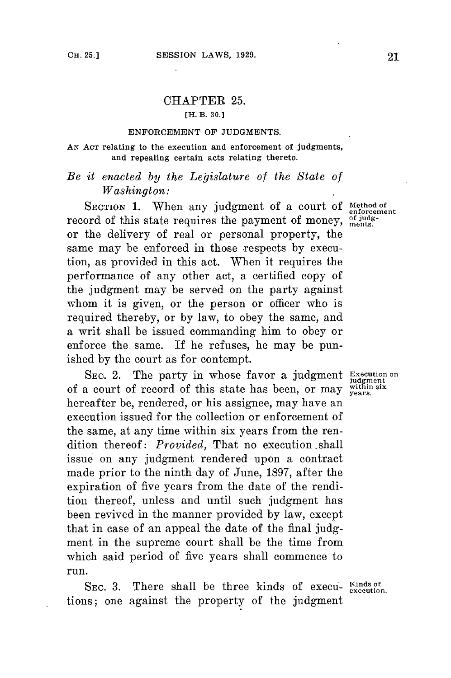## CHAPTER **25.**

### **[H. B. 30.]**

#### **ENFORCEMENT OF JUDGMENTS.**

#### **AN AcT relating to the execution and enforcement of judgments, and repealing certain acts relating thereto.**

# *Be it enacted by the Legislature of the State of Washington:*

SECTION 1. When any judgment of a court of Method of enforcement record of this state requires the payment of money, of judgor the delivery of real or personal property, the same may be enforced in those respects **by** execution, as provided in this act. When it requires the performance of any other act, a certified copy of the judgment may be served on the party against whom it is given, or the person or officer who is required thereby, or **by** law, to obey the same, and a writ shall be issued commanding him to obey or enforce the same. If he refuses, he may be punished **by** the court as **for** contempt.

SEC. 2. The party in whose favor a judgment **Execution** on of a court of record of this state has been, or may within six of a court of record of this state has been, or may <sub>years</sub>.<br>hereafter be, rendered, or his assignee, may have an execution issued for the collection or enforcement of the same, at any time within six years from the rendition thereof: *Provided,* That no execution .shall issue on any judgment rendered upon a contract made prior to the ninth day of June, **1897,** after the expiration of five years from the date of the rendition thereof, unless and until such judgment has been revived in the manner provided **by** law, except that in case of an appeal the date of the final **judg**ment in the supreme court shall be the time from which said period of five years shall commence to run.

SEC. 3. There shall be three kinds of execu- Kinds of tions; one against the property of the judgment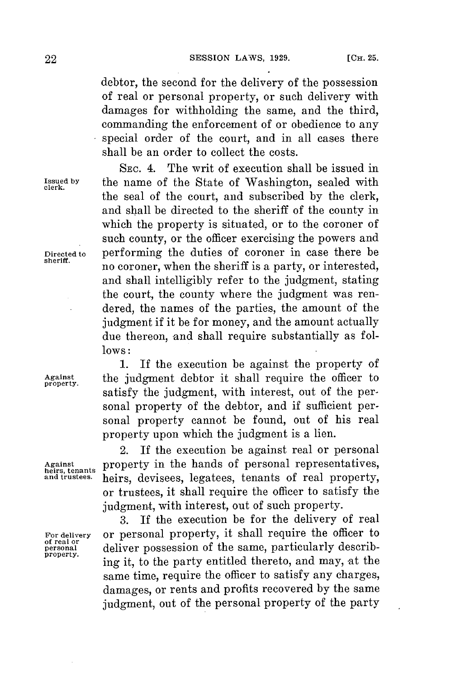debtor, the second for the delivery of the possession of real or personal property, or such delivery with damages for withholding the same, and the third, commanding the enforcement of or obedience to any special order of the court, and in all cases there shall be an order to collect the costs.

**SEC.** 4. The writ of execution shall be issued in **Issued by** the name of the State of Washington, sealed with **clerk.** the seal of the court, and subscribed **by** the clerk, and shall be directed to the sheriff of the county in which the property is situated, or to the coroner of such county, or the officer exercising the powers and Directed to performing the duties of coroner in case there be no coroner, when the sheriff is a party, or interested, and shall intelligibly refer to the judgment, stating the court, the county where the judgment was rendered, the names of the parties, the amount of the judgment if it be **for** money, and the amount actually due thereon, and shall require substantially as fol**lows:**

**1.** If the execution be against the property of **Against** the judgment debtor it shall require the officer to satisfy the judgment, with interest, out of the personal property of the debtor, and if sufficient personal property cannot be found, out of his real property upon which the judgment is a lien.

2. If the execution be against real or personal **Against** property in the hands of personal representatives, **heirs, tenants** heirs, devisees, legatees, tenants of real property, or trustees, it shall require the officer to satisfy the judgment, with interest, out of such property.

**3.** If the execution be **for** the delivery of real For delivery or personal property, it shall require the officer to<br>of real or<br> $\frac{1}{2}$ . of real or<br>personal deliver possession of the same, particularly describing it, to the party entitled thereto, and may, at the same time, require the officer to satisfy any charges, damages, or rents and profits recovered **by** the same judgment, out of the personal property of the party

**property.**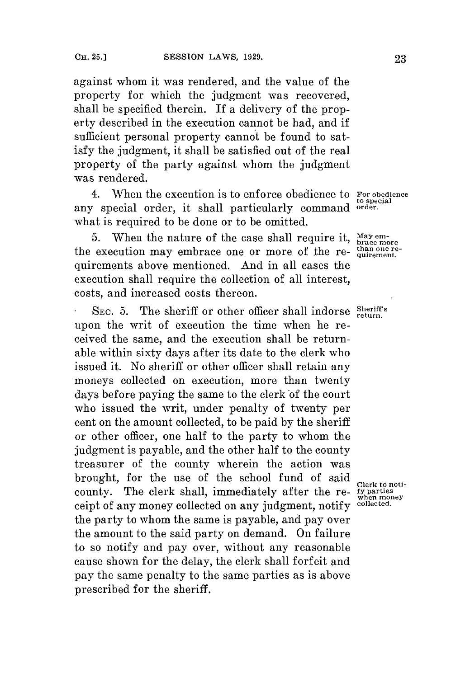against whom it was rendered, and the value of the property for which the judgment was recovered, shall be specified therein. If a delivery of the property described in the execution cannot be had, and if sufficient personal property cannot be found to satisfy the judgment, it shall be satisfied out of the real property of the party against whom the judgment was rendered.

4. When the execution is to enforce obedience to **For obedience** any special order, it shall particularly command **order.** what is required to be done or to be omitted.

5. When the nature of the case shall require it,  $_{\text{brace more}}^{\text{May em-}}$ the execution may embrace one or more of the re- than one requirements above mentioned. And in all cases the execution shall require the collection of all interest, costs, and increased costs thereon.

**SEC. 5.** The sheriff or other officer shall indorse **Sheriff's** upon the writ of execution the time when he received the same, and the execution shall be returnable within sixty days after its date to the clerk who issued it. No sheriff or other officer shall retain any moneys collected on execution, more than twenty days before paying the same to the clerk of the court who issued the writ, under penalty of twenty per cent on the amount collected, to be paid **by** the sheriff or other officer, one half to the party to whom the judgment is payable, and the other half to the county treasurer of the county wherein the action was brought, **for** the use of the school fund of said county. The clerk shall, immediately after the re- *fy parties*<br>coint of any money collected on any indoment, notify collected. ceipt of any money collected on any judgment, notify **collected.** the party to whom the same is payable, and pay over the amount to the said party on demand. On failure to so notify and pay over, without any reasonable cause shown **for** the delay, the clerk shall forfeit and pay the same penalty to the same parties as is above prescribed for the sheriff.

**to special**

**Clerk to noti-**